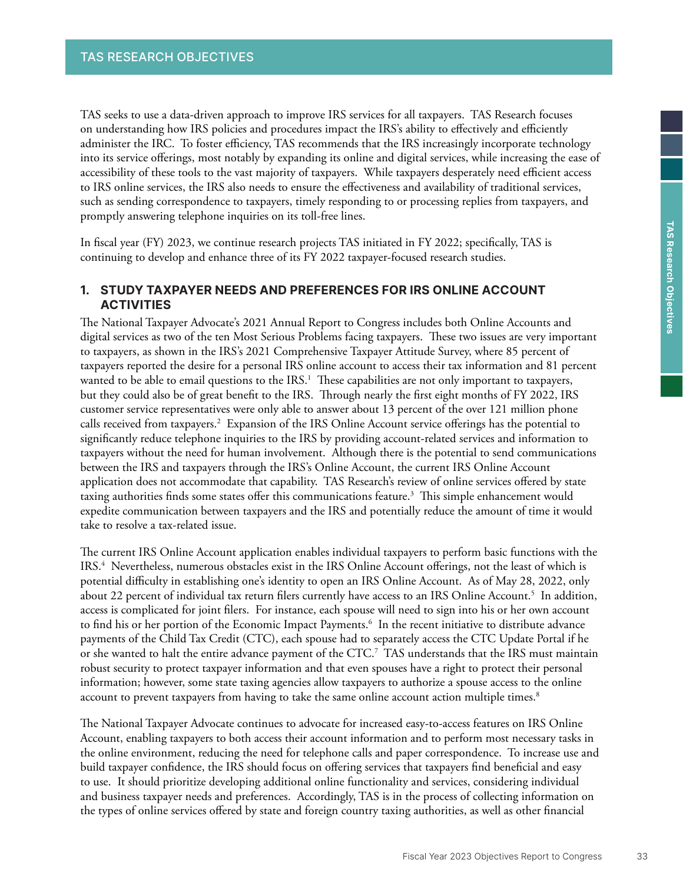TAS seeks to use a data-driven approach to improve IRS services for all taxpayers. TAS Research focuses on understanding how IRS policies and procedures impact the IRS's ability to effectively and efficiently administer the IRC. To foster efficiency, TAS recommends that the IRS increasingly incorporate technology into its service offerings, most notably by expanding its online and digital services, while increasing the ease of accessibility of these tools to the vast majority of taxpayers. While taxpayers desperately need efficient access to IRS online services, the IRS also needs to ensure the effectiveness and availability of traditional services, such as sending correspondence to taxpayers, timely responding to or processing replies from taxpayers, and promptly answering telephone inquiries on its toll-free lines.

In fiscal year (FY) 2023, we continue research projects TAS initiated in FY 2022; specifically, TAS is continuing to develop and enhance three of its FY 2022 taxpayer-focused research studies.

## **1. STUDY TAXPAYER NEEDS AND PREFERENCES FOR IRS ONLINE ACCOUNT ACTIVITIES**

The National Taxpayer Advocate's 2021 Annual Report to Congress includes both Online Accounts and digital services as two of the ten Most Serious Problems facing taxpayers. These two issues are very important to taxpayers, as shown in the IRS's 2021 Comprehensive Taxpayer Attitude Survey, where 85 percent of taxpayers reported the desire for a personal IRS online account to access their tax information and 81 percent wanted to be able to email questions to the IRS.<sup>1</sup> These capabilities are not only important to taxpayers, but they could also be of great benefit to the IRS. Through nearly the first eight months of FY 2022, IRS customer service representatives were only able to answer about 13 percent of the over 121 million phone calls received from taxpayers.<sup>2</sup> Expansion of the IRS Online Account service offerings has the potential to significantly reduce telephone inquiries to the IRS by providing account-related services and information to taxpayers without the need for human involvement. Although there is the potential to send communications between the IRS and taxpayers through the IRS's Online Account, the current IRS Online Account application does not accommodate that capability. TAS Research's review of online services offered by state taxing authorities finds some states offer this communications feature.<sup>3</sup> This simple enhancement would expedite communication between taxpayers and the IRS and potentially reduce the amount of time it would take to resolve a tax-related issue.

The current IRS Online Account application enables individual taxpayers to perform basic functions with the IRS.4 Nevertheless, numerous obstacles exist in the IRS Online Account offerings, not the least of which is potential difficulty in establishing one's identity to open an IRS Online Account. As of May 28, 2022, only about 22 percent of individual tax return filers currently have access to an IRS Online Account.5 In addition, access is complicated for joint filers. For instance, each spouse will need to sign into his or her own account to find his or her portion of the Economic Impact Payments.<sup>6</sup> In the recent initiative to distribute advance payments of the Child Tax Credit (CTC), each spouse had to separately access the CTC Update Portal if he or she wanted to halt the entire advance payment of the CTC.7 TAS understands that the IRS must maintain robust security to protect taxpayer information and that even spouses have a right to protect their personal information; however, some state taxing agencies allow taxpayers to authorize a spouse access to the online account to prevent taxpayers from having to take the same online account action multiple times.<sup>8</sup>

The National Taxpayer Advocate continues to advocate for increased easy-to-access features on IRS Online Account, enabling taxpayers to both access their account information and to perform most necessary tasks in the online environment, reducing the need for telephone calls and paper correspondence. To increase use and build taxpayer confidence, the IRS should focus on offering services that taxpayers find beneficial and easy to use. It should prioritize developing additional online functionality and services, considering individual and business taxpayer needs and preferences. Accordingly, TAS is in the process of collecting information on the types of online services offered by state and foreign country taxing authorities, as well as other financial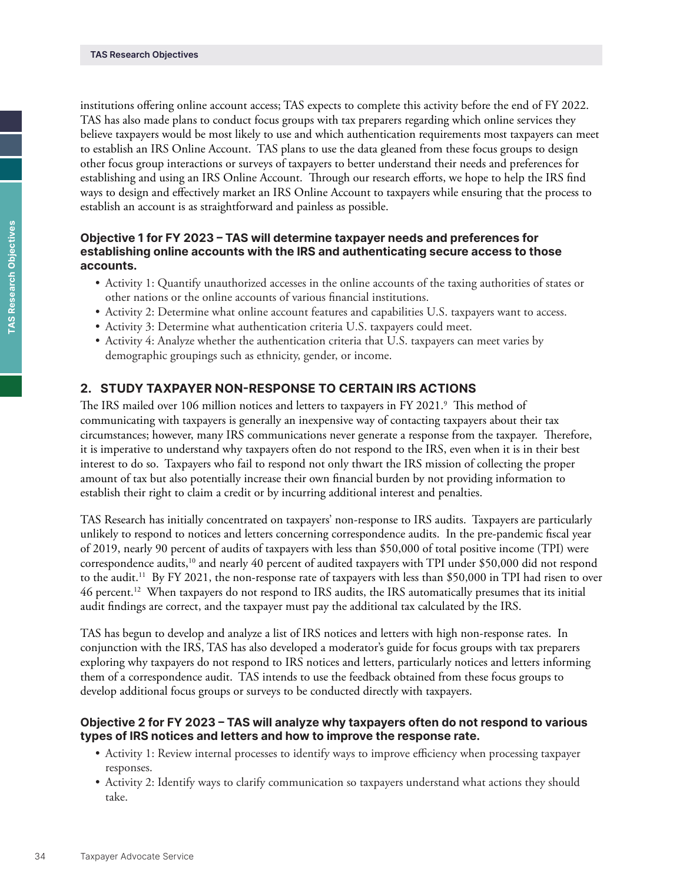institutions offering online account access; TAS expects to complete this activity before the end of FY 2022. TAS has also made plans to conduct focus groups with tax preparers regarding which online services they believe taxpayers would be most likely to use and which authentication requirements most taxpayers can meet to establish an IRS Online Account. TAS plans to use the data gleaned from these focus groups to design other focus group interactions or surveys of taxpayers to better understand their needs and preferences for establishing and using an IRS Online Account. Through our research efforts, we hope to help the IRS find ways to design and effectively market an IRS Online Account to taxpayers while ensuring that the process to establish an account is as straightforward and painless as possible.

## **Objective 1 for FY 2023 – TAS will determine taxpayer needs and preferences for establishing online accounts with the IRS and authenticating secure access to those accounts.**

- Activity 1: Quantify unauthorized accesses in the online accounts of the taxing authorities of states or other nations or the online accounts of various financial institutions.
- Activity 2: Determine what online account features and capabilities U.S. taxpayers want to access.
- Activity 3: Determine what authentication criteria U.S. taxpayers could meet.
- Activity 4: Analyze whether the authentication criteria that U.S. taxpayers can meet varies by demographic groupings such as ethnicity, gender, or income.

# **2. STUDY TAXPAYER NON-RESPONSE TO CERTAIN IRS ACTIONS**

The IRS mailed over 106 million notices and letters to taxpayers in FY 2021.<sup>9</sup> This method of communicating with taxpayers is generally an inexpensive way of contacting taxpayers about their tax circumstances; however, many IRS communications never generate a response from the taxpayer. Therefore, it is imperative to understand why taxpayers often do not respond to the IRS, even when it is in their best interest to do so. Taxpayers who fail to respond not only thwart the IRS mission of collecting the proper amount of tax but also potentially increase their own financial burden by not providing information to establish their right to claim a credit or by incurring additional interest and penalties.

TAS Research has initially concentrated on taxpayers' non-response to IRS audits. Taxpayers are particularly unlikely to respond to notices and letters concerning correspondence audits. In the pre-pandemic fiscal year of 2019, nearly 90 percent of audits of taxpayers with less than \$50,000 of total positive income (TPI) were correspondence audits,<sup>10</sup> and nearly 40 percent of audited taxpayers with TPI under \$50,000 did not respond to the audit.<sup>11</sup> By FY 2021, the non-response rate of taxpayers with less than \$50,000 in TPI had risen to over 46 percent.12 When taxpayers do not respond to IRS audits, the IRS automatically presumes that its initial audit findings are correct, and the taxpayer must pay the additional tax calculated by the IRS.

TAS has begun to develop and analyze a list of IRS notices and letters with high non-response rates. In conjunction with the IRS, TAS has also developed a moderator's guide for focus groups with tax preparers exploring why taxpayers do not respond to IRS notices and letters, particularly notices and letters informing them of a correspondence audit. TAS intends to use the feedback obtained from these focus groups to develop additional focus groups or surveys to be conducted directly with taxpayers.

### **Objective 2 for FY 2023 – TAS will analyze why taxpayers often do not respond to various types of IRS notices and letters and how to improve the response rate.**

- Activity 1: Review internal processes to identify ways to improve efficiency when processing taxpayer responses.
- Activity 2: Identify ways to clarify communication so taxpayers understand what actions they should take.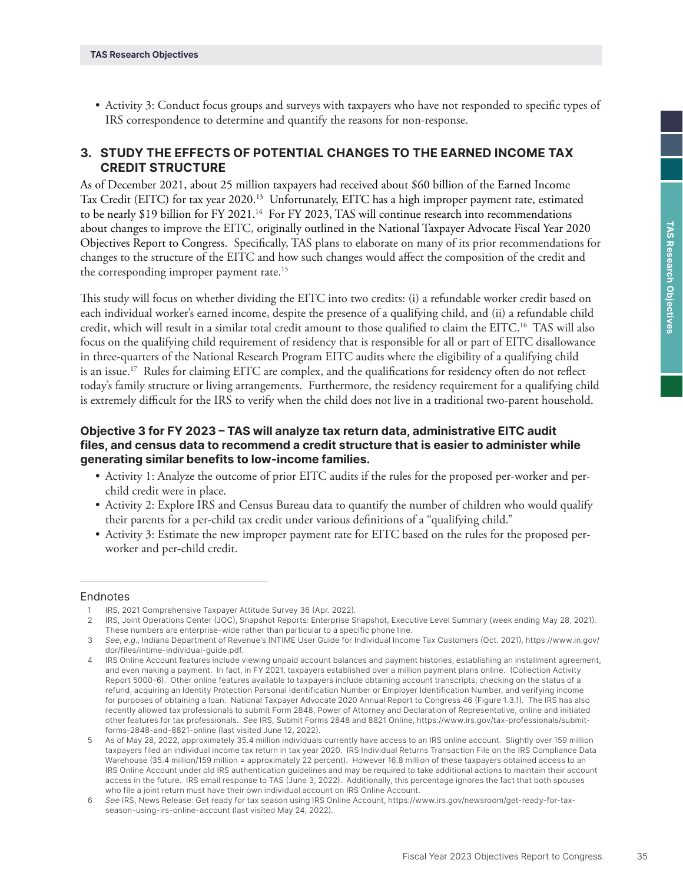• Activity 3: Conduct focus groups and surveys with taxpayers who have not responded to specific types of IRS correspondence to determine and quantify the reasons for non-response.

# **3. STUDY THE EFFECTS OF POTENTIAL CHANGES TO THE EARNED INCOME TAX CREDIT STRUCTURE**

As of December 2021, about 25 million taxpayers had received about \$60 billion of the Earned Income Tax Credit (EITC) for tax year 2020.<sup>13</sup> Unfortunately, EITC has a high improper payment rate, estimated to be nearly \$19 billion for FY 2021.<sup>14</sup> For FY 2023, TAS will continue research into recommendations about changes to improve the EITC, originally outlined in the National Taxpayer Advocate Fiscal Year 2020 Objectives Report to Congress. Specifically, TAS plans to elaborate on many of its prior recommendations for changes to the structure of the EITC and how such changes would affect the composition of the credit and the corresponding improper payment rate.<sup>15</sup>

This study will focus on whether dividing the EITC into two credits: (i) a refundable worker credit based on each individual worker's earned income, despite the presence of a qualifying child, and (ii) a refundable child credit, which will result in a similar total credit amount to those qualified to claim the EITC.16 TAS will also focus on the qualifying child requirement of residency that is responsible for all or part of EITC disallowance in three-quarters of the National Research Program EITC audits where the eligibility of a qualifying child is an issue.<sup>17</sup> Rules for claiming EITC are complex, and the qualifications for residency often do not reflect today's family structure or living arrangements. Furthermore, the residency requirement for a qualifying child is extremely difficult for the IRS to verify when the child does not live in a traditional two-parent household.

## **Objective 3 for FY 2023 – TAS will analyze tax return data, administrative EITC audit files, and census data to recommend a credit structure that is easier to administer while generating similar benefits to low-income families.**

- Activity 1: Analyze the outcome of prior EITC audits if the rules for the proposed per-worker and perchild credit were in place.
- Activity 2: Explore IRS and Census Bureau data to quantify the number of children who would qualify their parents for a per-child tax credit under various definitions of a "qualifying child."
- Activity 3: Estimate the new improper payment rate for EITC based on the rules for the proposed perworker and per-child credit.

#### Endnotes

IRS, 2021 Comprehensive Taxpayer Attitude Survey 36 (Apr. 2022).

<sup>2</sup> IRS, Joint Operations Center (JOC), Snapshot Reports: Enterprise Snapshot, Executive Level Summary (week ending May 28, 2021). These numbers are enterprise-wide rather than particular to a specific phone line.

<sup>3</sup> *See*, *e.g*., Indiana Department of Revenue's INTIME User Guide for Individual Income Tax Customers (Oct. 2021), [https://www.in.gov/](https://www.in.gov/dor/files/intime-individual-guide.pdf) [dor/files/intime-individual-guide.pdf.](https://www.in.gov/dor/files/intime-individual-guide.pdf)

<sup>4</sup> IRS Online Account features include viewing unpaid account balances and payment histories, establishing an installment agreement, and even making a payment. In fact, in FY 2021, taxpayers established over a million payment plans online. (Collection Activity Report 5000-6). Other online features available to taxpayers include obtaining account transcripts, checking on the status of a refund, acquiring an Identity Protection Personal Identification Number or Employer Identification Number, and verifying income for purposes of obtaining a loan. National Taxpayer Advocate 2020 Annual Report to Congress 46 (Figure 1.3.1). The IRS has also recently allowed tax professionals to submit Form 2848, Power of Attorney and Declaration of Representative, online and initiated other features for tax professionals. *See* IRS, Submit Forms 2848 and 8821 Online, [https://www.irs.gov/tax-professionals/submit](https://www.irs.gov/tax-professionals/submit-forms-2848-and-8821-online)[forms-2848-and-8821-online](https://www.irs.gov/tax-professionals/submit-forms-2848-and-8821-online) (last visited June 12, 2022).

<sup>5</sup> As of May 28, 2022, approximately 35.4 million individuals currently have access to an IRS online account. Slightly over 159 million taxpayers filed an individual income tax return in tax year 2020. IRS Individual Returns Transaction File on the IRS Compliance Data Warehouse (35.4 million/159 million = approximately 22 percent). However 16.8 million of these taxpayers obtained access to an IRS Online Account under old IRS authentication guidelines and may be required to take additional actions to maintain their account access in the future. IRS email response to TAS (June 3, 2022). Additionally, this percentage ignores the fact that both spouses who file a joint return must have their own individual account on IRS Online Account.

<sup>6</sup> *See* IRS, News Release: Get ready for tax season using IRS Online Account, [https://www.irs.gov/newsroom/get-ready-for-tax](https://www.irs.gov/newsroom/get-ready-for-tax-season-using-irs-online-account)[season-using-irs-online-account](https://www.irs.gov/newsroom/get-ready-for-tax-season-using-irs-online-account) (last visited May 24, 2022).